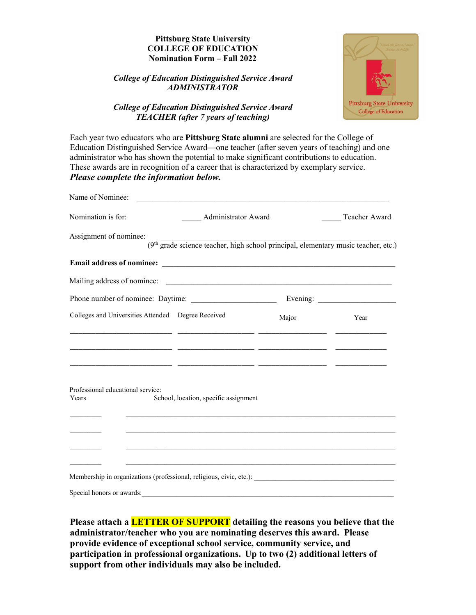## **Pittsburg State University COLLEGE OF EDUCATION Nomination Form – Fall 2022**

### *College of Education Distinguished Service Award ADMINISTRATOR*



# *College of Education Distinguished Service Award TEACHER (after 7 years of teaching)*

Each year two educators who are **Pittsburg State alumni** are selected for the College of Education Distinguished Service Award—one teacher (after seven years of teaching) and one administrator who has shown the potential to make significant contributions to education. These awards are in recognition of a career that is characterized by exemplary service. *Please complete the information below.*

| Name of Nominee:                                                                    |                                                                                                |               |
|-------------------------------------------------------------------------------------|------------------------------------------------------------------------------------------------|---------------|
| Nomination is for:                                                                  | Administrator Award                                                                            | Teacher Award |
| Assignment of nominee:                                                              | (9 <sup>th</sup> grade science teacher, high school principal, elementary music teacher, etc.) |               |
|                                                                                     |                                                                                                |               |
|                                                                                     |                                                                                                |               |
|                                                                                     |                                                                                                |               |
| Colleges and Universities Attended  Degree Received                                 | Major                                                                                          | Year          |
|                                                                                     |                                                                                                |               |
|                                                                                     |                                                                                                |               |
|                                                                                     |                                                                                                |               |
| Professional educational service:<br>School, location, specific assignment<br>Years |                                                                                                |               |
|                                                                                     |                                                                                                |               |
|                                                                                     |                                                                                                |               |
|                                                                                     |                                                                                                |               |
|                                                                                     |                                                                                                |               |
| Special honors or awards:                                                           |                                                                                                |               |

**Please attach a LETTER OF SUPPORT detailing the reasons you believe that the administrator/teacher who you are nominating deserves this award. Please provide evidence of exceptional school service, community service, and participation in professional organizations. Up to two (2) additional letters of support from other individuals may also be included.**